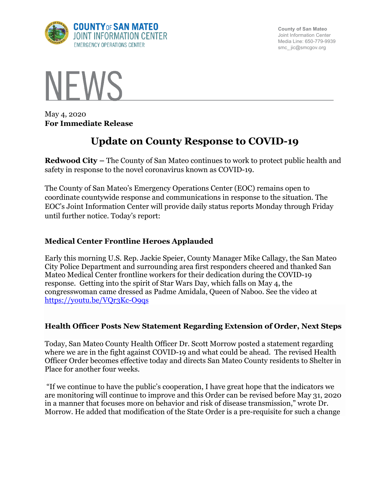

**County of San Mateo** Joint Information Center Media Line: 650-779-9939 smc\_ jic@smcgov.org



May 4, 2020 **For Immediate Release**

# **Update on County Response to COVID-19**

**Redwood City –** The County of San Mateo continues to work to protect public health and safety in response to the novel coronavirus known as COVID-19.

The County of San Mateo's Emergency Operations Center (EOC) remains open to coordinate countywide response and communications in response to the situation. The EOC's Joint Information Center will provide daily status reports Monday through Friday until further notice. Today's report:

## **Medical Center Frontline Heroes Applauded**

Early this morning U.S. Rep. Jackie Speier, County Manager Mike Callagy, the San Mateo City Police Department and surrounding area first responders cheered and thanked San Mateo Medical Center frontline workers for their dedication during the COVID-19 response. Getting into the spirit of Star Wars Day, which falls on May 4, the congresswoman came dressed as Padme Amidala, Queen of Naboo. See the video at https://youtu.be/VQr3Kc-O9qs

# **Health Officer Posts New Statement Regarding Extension of Order, Next Steps**

Today, San Mateo County Health Officer Dr. Scott Morrow posted a statement regarding where we are in the fight against COVID-19 and what could be ahead. The revised Health Officer Order becomes effective today and directs San Mateo County residents to Shelter in Place for another four weeks.

"If we continue to have the public's cooperation, I have great hope that the indicators we are monitoring will continue to improve and this Order can be revised before May 31, 2020 in a manner that focuses more on behavior and risk of disease transmission," wrote Dr. Morrow. He added that modification of the State Order is a pre-requisite for such a change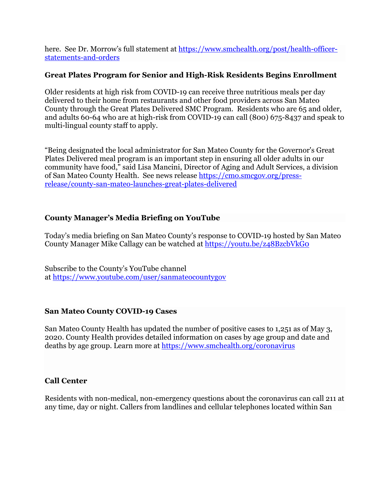here. See Dr. Morrow's full statement at https://www.smchealth.org/post/health-officerstatements-and-orders

## **Great Plates Program for Senior and High-Risk Residents Begins Enrollment**

Older residents at high risk from COVID-19 can receive three nutritious meals per day delivered to their home from restaurants and other food providers across San Mateo County through the Great Plates Delivered SMC Program. Residents who are 65 and older, and adults 60-64 who are at high-risk from COVID-19 can call (800) 675-8437 and speak to multi-lingual county staff to apply.

"Being designated the local administrator for San Mateo County for the Governor's Great Plates Delivered meal program is an important step in ensuring all older adults in our community have food," said Lisa Mancini, Director of Aging and Adult Services, a division of San Mateo County Health. See news release https://cmo.smcgov.org/pressrelease/county-san-mateo-launches-great-plates-delivered

## **County Manager's Media Briefing on YouTube**

Today's media briefing on San Mateo County's response to COVID-19 hosted by San Mateo County Manager Mike Callagy can be watched at https://youtu.be/z48BzcbVkG0

Subscribe to the County's YouTube channel at https://www.youtube.com/user/sanmateocountygov

#### **San Mateo County COVID-19 Cases**

San Mateo County Health has updated the number of positive cases to 1,251 as of May 3, 2020. County Health provides detailed information on cases by age group and date and deaths by age group. Learn more at https://www.smchealth.org/coronavirus

#### **Call Center**

Residents with non-medical, non-emergency questions about the coronavirus can call 211 at any time, day or night. Callers from landlines and cellular telephones located within San